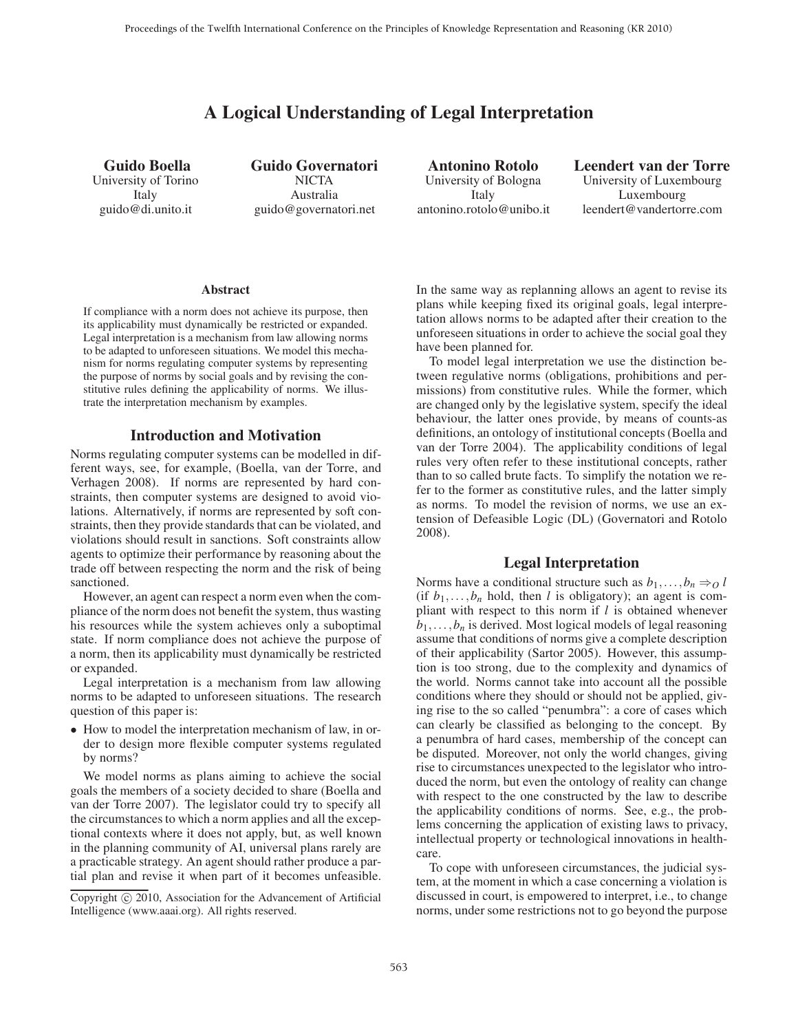# A Logical Understanding of Legal Interpretation

Guido Boella University of Torino Italy guido@di.unito.it

Guido Governatori **NICTA** Australia guido@governatori.net

Antonino Rotolo University of Bologna Italy antonino.rotolo@unibo.it Leendert van der Torre University of Luxembourg Luxembourg leendert@vandertorre.com

#### Abstract

If compliance with a norm does not achieve its purpose, then its applicability must dynamically be restricted or expanded. Legal interpretation is a mechanism from law allowing norms to be adapted to unforeseen situations. We model this mechanism for norms regulating computer systems by representing the purpose of norms by social goals and by revising the constitutive rules defining the applicability of norms. We illustrate the interpretation mechanism by examples.

#### Introduction and Motivation

Norms regulating computer systems can be modelled in different ways, see, for example, (Boella, van der Torre, and Verhagen 2008). If norms are represented by hard constraints, then computer systems are designed to avoid violations. Alternatively, if norms are represented by soft constraints, then they provide standards that can be violated, and violations should result in sanctions. Soft constraints allow agents to optimize their performance by reasoning about the trade off between respecting the norm and the risk of being sanctioned.

However, an agent can respect a norm even when the compliance of the norm does not benefit the system, thus wasting his resources while the system achieves only a suboptimal state. If norm compliance does not achieve the purpose of a norm, then its applicability must dynamically be restricted or expanded.

Legal interpretation is a mechanism from law allowing norms to be adapted to unforeseen situations. The research question of this paper is:

• How to model the interpretation mechanism of law, in order to design more flexible computer systems regulated by norms?

We model norms as plans aiming to achieve the social goals the members of a society decided to share (Boella and van der Torre 2007). The legislator could try to specify all the circumstances to which a norm applies and all the exceptional contexts where it does not apply, but, as well known in the planning community of AI, universal plans rarely are a practicable strategy. An agent should rather produce a partial plan and revise it when part of it becomes unfeasible.

In the same way as replanning allows an agent to revise its plans while keeping fixed its original goals, legal interpretation allows norms to be adapted after their creation to the unforeseen situations in order to achieve the social goal they have been planned for.

To model legal interpretation we use the distinction between regulative norms (obligations, prohibitions and permissions) from constitutive rules. While the former, which are changed only by the legislative system, specify the ideal behaviour, the latter ones provide, by means of counts-as definitions, an ontology of institutional concepts (Boella and van der Torre 2004). The applicability conditions of legal rules very often refer to these institutional concepts, rather than to so called brute facts. To simplify the notation we refer to the former as constitutive rules, and the latter simply as norms. To model the revision of norms, we use an extension of Defeasible Logic (DL) (Governatori and Rotolo 2008).

# Legal Interpretation

Norms have a conditional structure such as  $b_1, \ldots, b_n \Rightarrow 0$  *l* (if  $b_1, \ldots, b_n$  hold, then *l* is obligatory); an agent is compliant with respect to this norm if *l* is obtained whenever  $b_1, \ldots, b_n$  is derived. Most logical models of legal reasoning assume that conditions of norms give a complete description of their applicability (Sartor 2005). However, this assumption is too strong, due to the complexity and dynamics of the world. Norms cannot take into account all the possible conditions where they should or should not be applied, giving rise to the so called "penumbra": a core of cases which can clearly be classified as belonging to the concept. By a penumbra of hard cases, membership of the concept can be disputed. Moreover, not only the world changes, giving rise to circumstances unexpected to the legislator who introduced the norm, but even the ontology of reality can change with respect to the one constructed by the law to describe the applicability conditions of norms. See, e.g., the problems concerning the application of existing laws to privacy, intellectual property or technological innovations in healthcare.

To cope with unforeseen circumstances, the judicial system, at the moment in which a case concerning a violation is discussed in court, is empowered to interpret, i.e., to change norms, under some restrictions not to go beyond the purpose

Copyright  $\odot$  2010, Association for the Advancement of Artificial Intelligence (www.aaai.org). All rights reserved.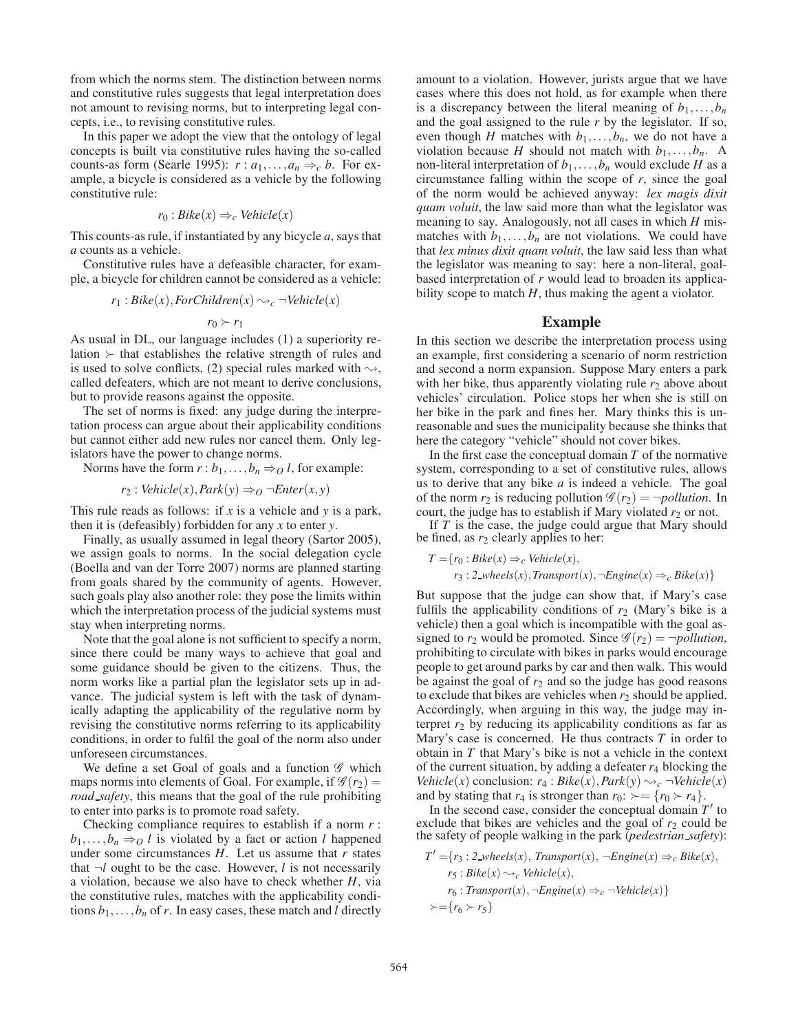from which the norms stem. The distinction between norms and constitutive rules suggests that legal interpretation does not amount to revising norms, but to interpreting legal concepts, i.e., to revising constitutive rules.

In this paper we adopt the view that the ontology of legal concepts is built via constitutive rules having the so-called counts-as form (Searle 1995):  $r : a_1, \ldots, a_n \Rightarrow_c b$ . For example, a bicycle is considered as a vehicle by the following constitutive rule:

$$
r_0: Bike(x) \Rightarrow_c Vehicle(x)
$$

This counts-as rule, if instantiated by any bicycle *a*, says that *a* counts as a vehicle.

Constitutive rules have a defeasible character, for example, a bicycle for children cannot be considered as a vehicle:

$$
r_1: Bike(x), ForChildren(x) \rightarrow_c \neg Vehicle(x)
$$

$$
r_0 \succ r_1
$$

As usual in DL, our language includes (1) a superiority relation  $\succ$  that establishes the relative strength of rules and is used to solve conflicts, (2) special rules marked with  $\rightsquigarrow$ , called defeaters, which are not meant to derive conclusions, but to provide reasons against the opposite.

The set of norms is fixed: any judge during the interpretation process can argue about their applicability conditions but cannot either add new rules nor cancel them. Only legislators have the power to change norms.

Norms have the form  $r : b_1, \ldots, b_n \Rightarrow 0 \in I$ , for example:

$$
r_2: Vehicle(x), Park(y) \Rightarrow_O \neg Enter(x, y)
$$

This rule reads as follows: if *x* is a vehicle and *y* is a park, then it is (defeasibly) forbidden for any *x* to enter *y*.

Finally, as usually assumed in legal theory (Sartor 2005), we assign goals to norms. In the social delegation cycle (Boella and van der Torre 2007) norms are planned starting from goals shared by the community of agents. However, such goals play also another role: they pose the limits within which the interpretation process of the judicial systems must stay when interpreting norms.

Note that the goal alone is not sufficient to specify a norm, since there could be many ways to achieve that goal and some guidance should be given to the citizens. Thus, the norm works like a partial plan the legislator sets up in advance. The judicial system is left with the task of dynamically adapting the applicability of the regulative norm by revising the constitutive norms referring to its applicability conditions, in order to fulfil the goal of the norm also under unforeseen circumstances.

We define a set Goal of goals and a function  $\mathscr G$  which maps norms into elements of Goal. For example, if  $\mathscr{G}(r_2)$  = *road safety*, this means that the goal of the rule prohibiting to enter into parks is to promote road safety.

Checking compliance requires to establish if a norm *r* :  $b_1, \ldots, b_n \Rightarrow 0$  *l* is violated by a fact or action *l* happened under some circumstances *H*. Let us assume that *r* states that  $\neg l$  ought to be the case. However, *l* is not necessarily a violation, because we also have to check whether *H*, via the constitutive rules, matches with the applicability conditions  $b_1, \ldots, b_n$  of *r*. In easy cases, these match and *l* directly

amount to a violation. However, jurists argue that we have cases where this does not hold, as for example when there is a discrepancy between the literal meaning of  $b_1, \ldots, b_n$ and the goal assigned to the rule *r* by the legislator. If so, even though *H* matches with  $b_1, \ldots, b_n$ , we do not have a violation because *H* should not match with  $b_1, \ldots, b_n$ . A non-literal interpretation of  $b_1, \ldots, b_n$  would exclude *H* as a circumstance falling within the scope of *r*, since the goal of the norm would be achieved anyway: *lex magis dixit quam voluit*, the law said more than what the legislator was meaning to say. Analogously, not all cases in which *H* mismatches with  $b_1, \ldots, b_n$  are not violations. We could have that *lex minus dixit quam voluit*, the law said less than what the legislator was meaning to say: here a non-literal, goalbased interpretation of *r* would lead to broaden its applicability scope to match  $H$ , thus making the agent a violator.

## Example

In this section we describe the interpretation process using an example, first considering a scenario of norm restriction and second a norm expansion. Suppose Mary enters a park with her bike, thus apparently violating rule  $r_2$  above about vehicles' circulation. Police stops her when she is still on her bike in the park and fines her. Mary thinks this is unreasonable and sues the municipality because she thinks that here the category "vehicle" should not cover bikes.

In the first case the conceptual domain  $T$  of the normative system, corresponding to a set of constitutive rules, allows us to derive that any bike *a* is indeed a vehicle. The goal of the norm  $r_2$  is reducing pollution  $\mathscr{G}(r_2) = \neg \text{pollution}$ . In court, the judge has to establish if Mary violated  $r_2$  or not.

If *T* is the case, the judge could argue that Mary should be fined, as  $r_2$  clearly applies to her:

$$
T = \{r_0 : Bike(x) \Rightarrow_c \text{Vehicle}(x),
$$
  

$$
r_3 : 2 \text{wheels}(x), \text{Transport}(x), \neg \text{Engineering}(x) \Rightarrow_c \text{Bike}(x)\}
$$

But suppose that the judge can show that, if Mary's case fulfils the applicability conditions of  $r_2$  (Mary's bike is a vehicle) then a goal which is incompatible with the goal assigned to  $r_2$  would be promoted. Since  $\mathscr{G}(r_2) = \neg \text{polution}$ , prohibiting to circulate with bikes in parks would encourage people to get around parks by car and then walk. This would be against the goal of  $r_2$  and so the judge has good reasons to exclude that bikes are vehicles when  $r_2$  should be applied. Accordingly, when arguing in this way, the judge may interpret  $r_2$  by reducing its applicability conditions as far as Mary's case is concerned. He thus contracts *T* in order to obtain in *T* that Mary's bike is not a vehicle in the context of the current situation, by adding a defeater  $r_4$  blocking the *Vehicle*(*x*) conclusion:  $r_4$ :  $Bike(x)$ ,  $Park(y) \rightarrow_c \neg Vehicle(x)$ and by stating that  $r_4$  is stronger than  $r_0$ :  $\succ = \{r_0 \succ r_4\}.$ 

In the second case, consider the conceptual domain  $T'$  to exclude that bikes are vehicles and the goal of  $r_2$  could be the safety of people walking in the park (*pedestrian safety*):

$$
T' = \{r_3 : 2\text{wheels}(x), \text{Transport}(x), \neg Engine(x) \Rightarrow_c \text{Bike}(x),
$$
  

$$
r_5 : \text{Bike}(x) \rightsquigarrow_c \text{Vehicle}(x),
$$
  

$$
r_6 : \text{Transport}(x), \neg Engine(x) \Rightarrow_c \neg Vehicle(x)\}
$$
  

$$
\succ = \{r_6 \succ r_5\}
$$